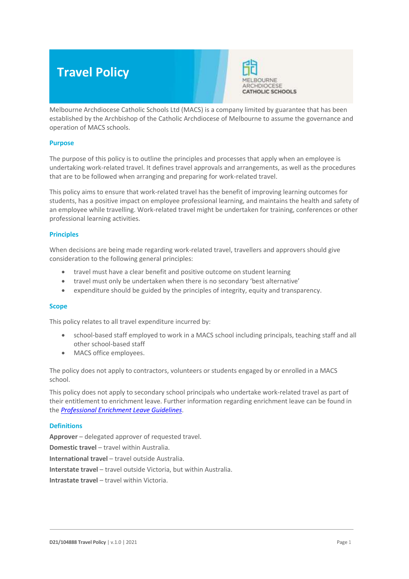# **Travel Policy**



Melbourne Archdiocese Catholic Schools Ltd (MACS) is a company limited by guarantee that has been established by the Archbishop of the Catholic Archdiocese of Melbourne to assume the governance and operation of MACS schools.

## **Purpose**

The purpose of this policy is to outline the principles and processes that apply when an employee is undertaking work-related travel. It defines travel approvals and arrangements, as well as the procedures that are to be followed when arranging and preparing for work-related travel.

This policy aims to ensure that work-related travel has the benefit of improving learning outcomes for students, has a positive impact on employee professional learning, and maintains the health and safety of an employee while travelling. Work-related travel might be undertaken for training, conferences or other professional learning activities.

## **Principles**

When decisions are being made regarding work-related travel, travellers and approvers should give consideration to the following general principles:

- travel must have a clear benefit and positive outcome on student learning
- travel must only be undertaken when there is no secondary 'best alternative'
- expenditure should be guided by the principles of integrity, equity and transparency.

## **Scope**

This policy relates to all travel expenditure incurred by:

- school-based staff employed to work in a MACS school including principals, teaching staff and all other school-based staff
- MACS office employees.

The policy does not apply to contractors, volunteers or students engaged by or enrolled in a MACS school.

This policy does not apply to secondary school principals who undertake work-related travel as part of their entitlement to enrichment leave. Further information regarding enrichment leave can be found in the *[Professional Enrichment Leave Guidelines](https://www.cecv.catholic.edu.au/getmedia/a75ddb54-80f3-4cc0-a073-d5c926e1e4d0/Professional-Enrichment-Leave-Guidelines.aspx)*.

## **Definitions**

**Approver** – delegated approver of requested travel. **Domestic travel** – travel within Australia. **International travel** – travel outside Australia. **Interstate travel** – travel outside Victoria, but within Australia. **Intrastate travel** – travel within Victoria.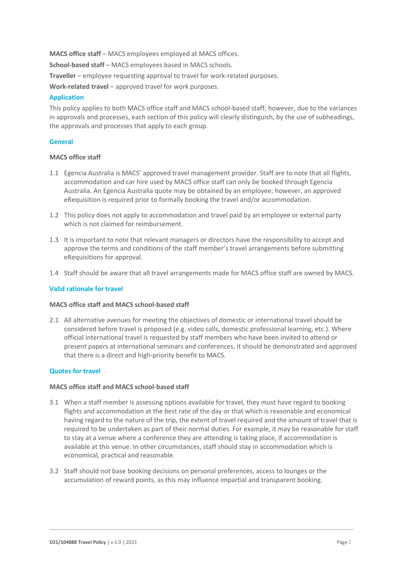**MACS office staff** – MACS employees employed at MACS offices.

**School-based staff** – MACS employees based in MACS schools.

**Traveller** – employee requesting approval to travel for work-related purposes.

**Work-related travel** – approved travel for work purposes.

# **Application**

This policy applies to both MACS office staff and MACS school-based staff; however, due to the variances in approvals and processes, each section of this policy will clearly distinguish, by the use of subheadings, the approvals and processes that apply to each group.

# **General**

# **MACS office staff**

- 1.1 Egencia Australia is MACS' approved travel management provider. Staff are to note that all flights, accommodation and car hire used by MACS office staff can only be booked through Egencia Australia. An Egencia Australia quote may be obtained by an employee; however, an approved eRequisition is required prior to formally booking the travel and/or accommodation.
- 1.2 This policy does not apply to accommodation and travel paid by an employee or external party which is not claimed for reimbursement.
- 1.3 It is important to note that relevant managers or directors have the responsibility to accept and approve the terms and conditions of the staff member's travel arrangements before submitting eRequisitions for approval.
- 1.4 Staff should be aware that all travel arrangements made for MACS office staff are owned by MACS.

# **Valid rationale for travel**

# **MACS office staff and MACS school-based staff**

2.1 All alternative avenues for meeting the objectives of domestic or international travel should be considered before travel is proposed (e.g. video calls, domestic professional learning, etc.). Where official international travel is requested by staff members who have been invited to attend or present papers at international seminars and conferences, it should be demonstrated and approved that there is a direct and high-priority benefit to MACS.

# **Quotes for travel**

# **MACS office staff and MACS school-based staff**

- 3.1 When a staff member is assessing options available for travel, they must have regard to booking flights and accommodation at the best rate of the day or that which is reasonable and economical having regard to the nature of the trip, the extent of travel required and the amount of travel that is required to be undertaken as part of their normal duties. For example, it may be reasonable for staff to stay at a venue where a conference they are attending is taking place, if accommodation is available at this venue. In other circumstances, staff should stay in accommodation which is economical, practical and reasonable.
- 3.2 Staff should not base booking decisions on personal preferences, access to lounges or the accumulation of reward points, as this may influence impartial and transparent booking.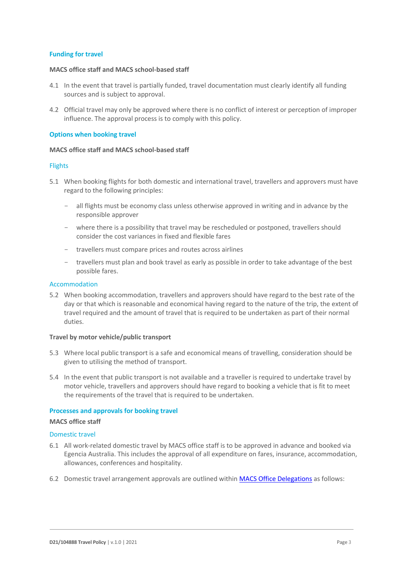## **Funding for travel**

## **MACS office staff and MACS school-based staff**

- 4.1 In the event that travel is partially funded, travel documentation must clearly identify all funding sources and is subject to approval.
- 4.2 Official travel may only be approved where there is no conflict of interest or perception of improper influence. The approval process is to comply with this policy.

## **Options when booking travel**

#### **MACS office staff and MACS school-based staff**

#### **Flights**

- 5.1 When booking flights for both domestic and international travel, travellers and approvers must have regard to the following principles:
	- all flights must be economy class unless otherwise approved in writing and in advance by the responsible approver
	- where there is a possibility that travel may be rescheduled or postponed, travellers should consider the cost variances in fixed and flexible fares
	- travellers must compare prices and routes across airlines
	- travellers must plan and book travel as early as possible in order to take advantage of the best possible fares.

#### Accommodation

5.2 When booking accommodation, travellers and approvers should have regard to the best rate of the day or that which is reasonable and economical having regard to the nature of the trip, the extent of travel required and the amount of travel that is required to be undertaken as part of their normal duties.

#### **Travel by motor vehicle/public transport**

- 5.3 Where local public transport is a safe and economical means of travelling, consideration should be given to utilising the method of transport.
- 5.4 In the event that public transport is not available and a traveller is required to undertake travel by motor vehicle, travellers and approvers should have regard to booking a vehicle that is fit to meet the requirements of the travel that is required to be undertaken.

## **Processes and approvals for booking travel**

#### **MACS office staff**

#### Domestic travel

- 6.1 All work-related domestic travel by MACS office staff is to be approved in advance and booked via Egencia Australia. This includes the approval of all expenditure on fares, insurance, accommodation, allowances, conferences and hospitality.
- 6.2 Domestic travel arrangement approvals are outlined within [MACS Office Delegations](https://staff.ceomelb.catholic.edu.au/delegation/_layouts/15/WopiFrame.aspx?sourcedoc=/delegation/Documents/MACS%20Internal%20Delegations.xlsx) as follows: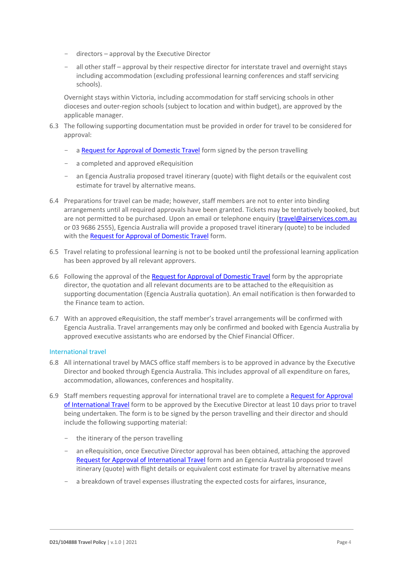- $directors approval by the Executive Director$
- all other staff approval by their respective director for interstate travel and overnight stays including accommodation (excluding professional learning conferences and staff servicing schools).

Overnight stays within Victoria, including accommodation for staff servicing schools in other dioceses and outer-region schools (subject to location and within budget), are approved by the applicable manager.

- 6.3 The following supporting documentation must be provided in order for travel to be considered for approval:
	- [a Request for Approval of Domestic Travel](https://staff.ceomelb.catholic.edu.au/toolstechnical/forms/Documents/Approval%20for%20Domestic%20Travel.docx) form signed by the person travelling
	- a completed and approved eRequisition
	- an Egencia Australia proposed travel itinerary (quote) with flight details or the equivalent cost estimate for travel by alternative means.
- 6.4 Preparations for travel can be made; however, staff members are not to enter into binding arrangements until all required approvals have been granted. Tickets may be tentatively booked, but are not permitted to be purchased. Upon an email or telephone enquiry [\(travel@airservices.com.au](mailto:travel@airservices.com.au) or 03 9686 2555), Egencia Australia will provide a proposed travel itinerary (quote) to be included with the [Request for Approval of Domestic Travel](https://staff.ceomelb.catholic.edu.au/toolstechnical/forms/Documents/Approval%20for%20Domestic%20Travel.docx) form.
- 6.5 Travel relating to professional learning is not to be booked until the professional learning application has been approved by all relevant approvers.
- 6.6 Following the approval of the [Request for Approval of Domestic Travel](https://staff.ceomelb.catholic.edu.au/toolstechnical/forms/Documents/Approval%20for%20Domestic%20Travel.docx) form by the appropriate director, the quotation and all relevant documents are to be attached to the eRequisition as supporting documentation (Egencia Australia quotation). An email notification is then forwarded to the Finance team to action.
- 6.7 With an approved eRequisition, the staff member's travel arrangements will be confirmed with Egencia Australia. Travel arrangements may only be confirmed and booked with Egencia Australia by approved executive assistants who are endorsed by the Chief Financial Officer.

## International travel

- 6.8 All international travel by MACS office staff members is to be approved in advance by the Executive Director and booked through Egencia Australia. This includes approval of all expenditure on fares, accommodation, allowances, conferences and hospitality.
- 6.9 Staff members requesting approval for international travel are to complete a [Request for Approval](https://staff.ceomelb.catholic.edu.au/toolstechnical/forms/Documents/Approval%20for%20International%20Travel.docx)  [of International Travel](https://staff.ceomelb.catholic.edu.au/toolstechnical/forms/Documents/Approval%20for%20International%20Travel.docx) form to be approved by the Executive Director at least 10 days prior to travel being undertaken. The form is to be signed by the person travelling and their director and should include the following supporting material:
	- the itinerary of the person travelling
	- an eRequisition, once Executive Director approval has been obtained, attaching the approved [Request for Approval of International Travel](https://staff.ceomelb.catholic.edu.au/toolstechnical/forms/Documents/Approval%20for%20International%20Travel.docx) form and an Egencia Australia proposed travel itinerary (quote) with flight details or equivalent cost estimate for travel by alternative means
	- a breakdown of travel expenses illustrating the expected costs for airfares, insurance,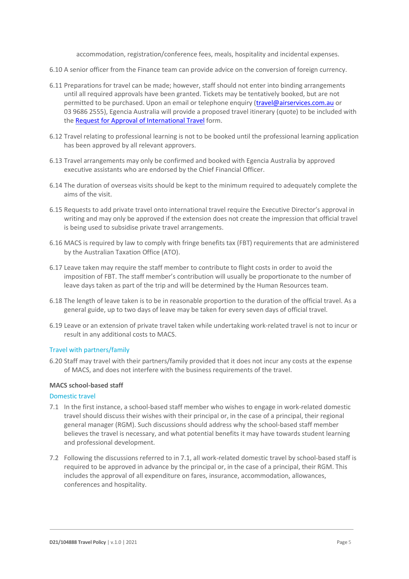accommodation, registration/conference fees, meals, hospitality and incidental expenses.

- 6.10 A senior officer from the Finance team can provide advice on the conversion of foreign currency.
- 6.11 Preparations for travel can be made; however, staff should not enter into binding arrangements until all required approvals have been granted. Tickets may be tentatively booked, but are not permitted to be purchased. Upon an email or telephone enquiry [\(travel@airservices.com.au](mailto:travel@airservices.com.au) or 03 9686 2555), Egencia Australia will provide a proposed travel itinerary (quote) to be included with the [Request for Approval of International Travel](https://staff.ceomelb.catholic.edu.au/toolstechnical/forms/Documents/Approval%20for%20International%20Travel.docx) form.
- 6.12 Travel relating to professional learning is not to be booked until the professional learning application has been approved by all relevant approvers.
- 6.13 Travel arrangements may only be confirmed and booked with Egencia Australia by approved executive assistants who are endorsed by the Chief Financial Officer.
- 6.14 The duration of overseas visits should be kept to the minimum required to adequately complete the aims of the visit.
- 6.15 Requests to add private travel onto international travel require the Executive Director's approval in writing and may only be approved if the extension does not create the impression that official travel is being used to subsidise private travel arrangements.
- 6.16 MACS is required by law to comply with fringe benefits tax (FBT) requirements that are administered by the Australian Taxation Office (ATO).
- 6.17 Leave taken may require the staff member to contribute to flight costs in order to avoid the imposition of FBT. The staff member's contribution will usually be proportionate to the number of leave days taken as part of the trip and will be determined by the Human Resources team.
- 6.18 The length of leave taken is to be in reasonable proportion to the duration of the official travel. As a general guide, up to two days of leave may be taken for every seven days of official travel.
- 6.19 Leave or an extension of private travel taken while undertaking work-related travel is not to incur or result in any additional costs to MACS.

## Travel with partners/family

6.20 Staff may travel with their partners/family provided that it does not incur any costs at the expense of MACS, and does not interfere with the business requirements of the travel.

# **MACS school-based staff**

## Domestic travel

- 7.1 In the first instance, a school-based staff member who wishes to engage in work-related domestic travel should discuss their wishes with their principal or, in the case of a principal, their regional general manager (RGM). Such discussions should address why the school-based staff member believes the travel is necessary, and what potential benefits it may have towards student learning and professional development.
- 7.2 Following the discussions referred to in 7.1, all work-related domestic travel by school-based staff is required to be approved in advance by the principal or, in the case of a principal, their RGM. This includes the approval of all expenditure on fares, insurance, accommodation, allowances, conferences and hospitality.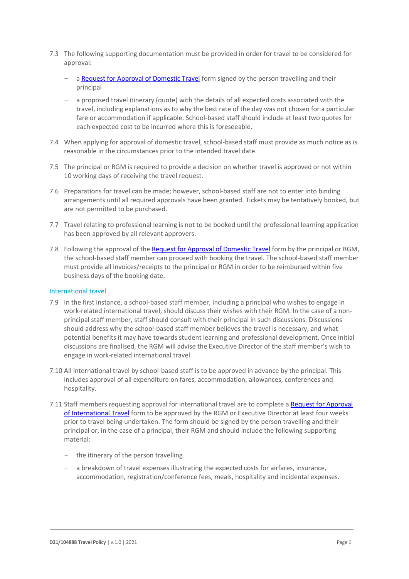- 7.3 The following supporting documentation must be provided in order for travel to be considered for approval:
	- [a Request for Approval of Domestic Travel](https://staff.ceomelb.catholic.edu.au/toolstechnical/forms/Documents/Approval%20for%20Domestic%20Travel.docx) form signed by the person travelling and their principal
	- a proposed travel itinerary (quote) with the details of all expected costs associated with the travel, including explanations as to why the best rate of the day was not chosen for a particular fare or accommodation if applicable. School-based staff should include at least two quotes for each expected cost to be incurred where this is foreseeable.
- 7.4 When applying for approval of domestic travel, school-based staff must provide as much notice as is reasonable in the circumstances prior to the intended travel date.
- 7.5 The principal or RGM is required to provide a decision on whether travel is approved or not within 10 working days of receiving the travel request.
- 7.6 Preparations for travel can be made; however, school-based staff are not to enter into binding arrangements until all required approvals have been granted. Tickets may be tentatively booked, but are not permitted to be purchased.
- 7.7 Travel relating to professional learning is not to be booked until the professional learning application has been approved by all relevant approvers.
- 7.8 Following the approval of the [Request for Approval of Domestic Travel](https://staff.ceomelb.catholic.edu.au/toolstechnical/forms/Documents/Approval%20for%20Domestic%20Travel.docx) form by the principal or RGM, the school-based staff member can proceed with booking the travel. The school-based staff member must provide all invoices/receipts to the principal or RGM in order to be reimbursed within five business days of the booking date.

## International travel

- 7.9 In the first instance, a school-based staff member, including a principal who wishes to engage in work-related international travel, should discuss their wishes with their RGM. In the case of a nonprincipal staff member, staff should consult with their principal in such discussions. Discussions should address why the school-based staff member believes the travel is necessary, and what potential benefits it may have towards student learning and professional development. Once initial discussions are finalised, the RGM will advise the Executive Director of the staff member's wish to engage in work-related international travel.
- 7.10 All international travel by school-based staff is to be approved in advance by the principal. This includes approval of all expenditure on fares, accommodation, allowances, conferences and hospitality.
- 7.11 Staff members requesting approval for international travel are to complete a Request for Approval [of International Travel](https://staff.ceomelb.catholic.edu.au/toolstechnical/forms/Documents/Approval%20for%20International%20Travel.docx) form to be approved by the RGM or Executive Director at least four weeks prior to travel being undertaken. The form should be signed by the person travelling and their principal or, in the case of a principal, their RGM and should include the following supporting material:
	- the itinerary of the person travelling
	- a breakdown of travel expenses illustrating the expected costs for airfares, insurance, accommodation, registration/conference fees, meals, hospitality and incidental expenses.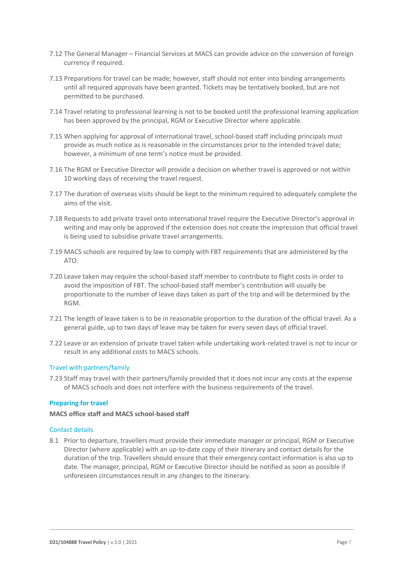- 7.12 The General Manager Financial Services at MACS can provide advice on the conversion of foreign currency if required.
- 7.13 Preparations for travel can be made; however, staff should not enter into binding arrangements until all required approvals have been granted. Tickets may be tentatively booked, but are not permitted to be purchased.
- 7.14 Travel relating to professional learning is not to be booked until the professional learning application has been approved by the principal, RGM or Executive Director where applicable.
- 7.15 When applying for approval of international travel, school-based staff including principals must provide as much notice as is reasonable in the circumstances prior to the intended travel date; however, a minimum of one term's notice must be provided.
- 7.16 The RGM or Executive Director will provide a decision on whether travel is approved or not within 10 working days of receiving the travel request.
- 7.17 The duration of overseas visits should be kept to the minimum required to adequately complete the aims of the visit.
- 7.18 Requests to add private travel onto international travel require the Executive Director's approval in writing and may only be approved if the extension does not create the impression that official travel is being used to subsidise private travel arrangements.
- 7.19 MACS schools are required by law to comply with FBT requirements that are administered by the ATO.
- 7.20 Leave taken may require the school-based staff member to contribute to flight costs in order to avoid the imposition of FBT. The school-based staff member's contribution will usually be proportionate to the number of leave days taken as part of the trip and will be determined by the RGM.
- 7.21 The length of leave taken is to be in reasonable proportion to the duration of the official travel. As a general guide, up to two days of leave may be taken for every seven days of official travel.
- 7.22 Leave or an extension of private travel taken while undertaking work-related travel is not to incur or result in any additional costs to MACS schools.

# Travel with partners/family

7.23 Staff may travel with their partners/family provided that it does not incur any costs at the expense of MACS schools and does not interfere with the business requirements of the travel.

## **Preparing for travel**

## **MACS office staff and MACS school-based staff**

## Contact details

8.1 Prior to departure, travellers must provide their immediate manager or principal, RGM or Executive Director (where applicable) with an up-to-date copy of their itinerary and contact details for the duration of the trip. Travellers should ensure that their emergency contact information is also up to date. The manager, principal, RGM or Executive Director should be notified as soon as possible if unforeseen circumstances result in any changes to the itinerary.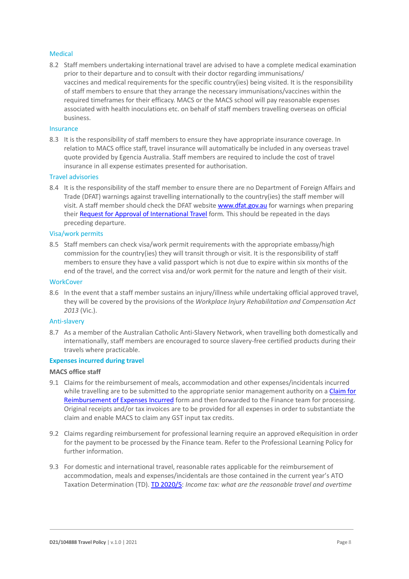## Medical

8.2 Staff members undertaking international travel are advised to have a complete medical examination prior to their departure and to consult with their doctor regarding immunisations/ vaccines and medical requirements for the specific country(ies) being visited. It is the responsibility of staff members to ensure that they arrange the necessary immunisations/vaccines within the required timeframes for their efficacy. MACS or the MACS school will pay reasonable expenses associated with health inoculations etc. on behalf of staff members travelling overseas on official business.

## Insurance

8.3 It is the responsibility of staff members to ensure they have appropriate insurance coverage. In relation to MACS office staff, travel insurance will automatically be included in any overseas travel quote provided by Egencia Australia. Staff members are required to include the cost of travel insurance in all expense estimates presented for authorisation.

## Travel advisories

8.4 It is the responsibility of the staff member to ensure there are no Department of Foreign Affairs and Trade (DFAT) warnings against travelling internationally to the country(ies) the staff member will visit. A staff member should check the DFAT website [www.dfat.gov.au](http://www.dfat.gov.au/) for warnings when preparing their [Request for Approval of International Travel](https://staff.ceomelb.catholic.edu.au/toolstechnical/forms/Documents/Approval%20for%20International%20Travel.docx) form*.* This should be repeated in the days preceding departure.

#### Visa/work permits

8.5 Staff members can check visa/work permit requirements with the appropriate embassy/high commission for the country(ies) they will transit through or visit. It is the responsibility of staff members to ensure they have a valid passport which is not due to expire within six months of the end of the travel, and the correct visa and/or work permit for the nature and length of their visit.

## **WorkCover**

8.6 In the event that a staff member sustains an injury/illness while undertaking official approved travel, they will be covered by the provisions of the *Workplace Injury Rehabilitation and Compensation Act 2013* (Vic.).

#### Anti-slavery

8.7 As a member of the Australian Catholic Anti-Slavery Network, when travelling both domestically and internationally, staff members are encouraged to source slavery-free certified products during their travels where practicable.

## **Expenses incurred during travel**

## **MACS office staff**

- 9.1 Claims for the reimbursement of meals, accommodation and other expenses/incidentals incurred while travelling are to be submitted to the appropriate senior management authority on a Claim for [Reimbursement of Expenses Incurred](https://staff.ceomelb.catholic.edu.au/toolstechnical/forms/Documents/Claim%20for%20Reimbursement.docx) form and then forwarded to the Finance team for processing. Original receipts and/or tax invoices are to be provided for all expenses in order to substantiate the claim and enable MACS to claim any GST input tax credits.
- 9.2 Claims regarding reimbursement for professional learning require an approved eRequisition in order for the payment to be processed by the Finance team. Refer to the Professional Learning Policy for further information.
- 9.3 For domestic and international travel, reasonable rates applicable for the reimbursement of accommodation, meals and expenses/incidentals are those contained in the current year's ATO Taxation Determination (TD). [TD 2020/5](https://www.ato.gov.au/law/view/pdf/pbr/td2020-005.pdf): *Income tax: what are the reasonable travel and overtime*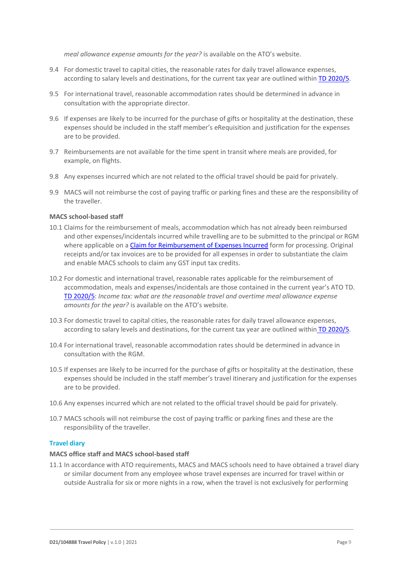*meal allowance expense amounts for the year?* is available on the ATO's website.

- 9.4 For domestic travel to capital cities, the reasonable rates for daily travel allowance expenses, according to salary levels and destinations, for the current tax year are outlined within [TD 2020/5](https://www.ato.gov.au/law/view/pdf/pbr/td2020-005.pdf).
- 9.5 For international travel, reasonable accommodation rates should be determined in advance in consultation with the appropriate director.
- 9.6 If expenses are likely to be incurred for the purchase of gifts or hospitality at the destination, these expenses should be included in the staff member's eRequisition and justification for the expenses are to be provided.
- 9.7 Reimbursements are not available for the time spent in transit where meals are provided, for example, on flights.
- 9.8 Any expenses incurred which are not related to the official travel should be paid for privately.
- 9.9 MACS will not reimburse the cost of paying traffic or parking fines and these are the responsibility of the traveller.

# **MACS school-based staff**

- 10.1 Claims for the reimbursement of meals, accommodation which has not already been reimbursed and other expenses/incidentals incurred while travelling are to be submitted to the principal or RGM where applicable on [a Claim for Reimbursement of Expenses Incurred](https://staff.ceomelb.catholic.edu.au/toolstechnical/forms/Documents/Claim%20for%20Reimbursement.docx) form for processing. Original receipts and/or tax invoices are to be provided for all expenses in order to substantiate the claim and enable MACS schools to claim any GST input tax credits.
- 10.2 For domestic and international travel, reasonable rates applicable for the reimbursement of accommodation, meals and expenses/incidentals are those contained in the current year's ATO TD. [TD 2020/5](https://www.ato.gov.au/law/view/pdf/pbr/td2020-005.pdf): *Income tax: what are the reasonable travel and overtime meal allowance expense amounts for the year?* is available on the ATO's website.
- 10.3 For domestic travel to capital cities, the reasonable rates for daily travel allowance expenses, according to salary levels and destinations, for the current tax year are outlined within [TD 2020/5](https://www.ato.gov.au/law/view/pdf/pbr/td2020-005.pdf).
- 10.4 For international travel, reasonable accommodation rates should be determined in advance in consultation with the RGM.
- 10.5 If expenses are likely to be incurred for the purchase of gifts or hospitality at the destination, these expenses should be included in the staff member's travel itinerary and justification for the expenses are to be provided.
- 10.6 Any expenses incurred which are not related to the official travel should be paid for privately.
- 10.7 MACS schools will not reimburse the cost of paying traffic or parking fines and these are the responsibility of the traveller.

## **Travel diary**

## **MACS office staff and MACS school-based staff**

11.1 In accordance with ATO requirements, MACS and MACS schools need to have obtained a travel diary or similar document from any employee whose travel expenses are incurred for travel within or outside Australia for six or more nights in a row, when the travel is not exclusively for performing